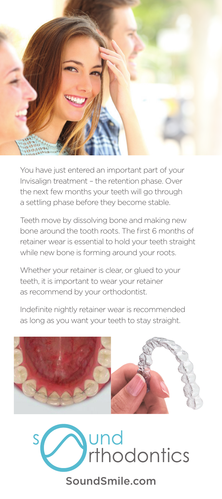

You have just entered an important part of your Invisalign treatment – the retention phase. Over the next few months your teeth will go through a settling phase before they become stable.

Teeth move by dissolving bone and making new bone around the tooth roots. The first 6 months of retainer wear is essential to hold your teeth straight while new bone is forming around your roots.

Whether your retainer is clear, or glued to your teeth, it is important to wear your retainer as recommend by your orthodontist.

Indefinite nightly retainer wear is recommended as long as you want your teeth to stay straight.